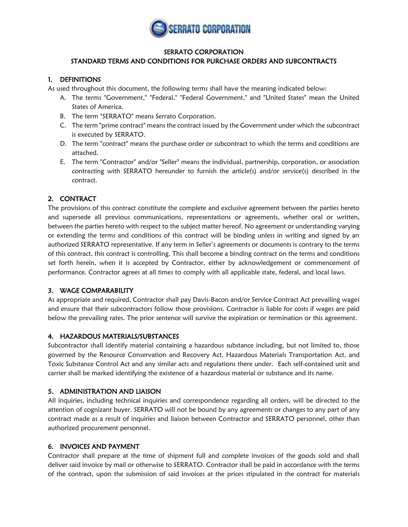

### SERRATO CORPORATION

# STANDARD TERMS AND CONDITIONS FOR PURCHASE ORDERS AND SUBCONTRACTS

### 1. DEFINITIONS

As used throughout this document, the following terms shall have the meaning indicated below:

- A. The terms "Government," "Federal," "Federal Government," and "United States" mean the United States of America.
- B. The term "SERRATO" means Serrato Corporation.
- C. The term "prime contract" means the contract issued by the Government under which the subcontract is executed by SERRATO.
- D. The term "contract" means the purchase order or subcontract to which the terms and conditions are attached.
- E. The term "Contractor" and/or "Seller" means the individual, partnership, corporation, or association contracting with SERRATO hereunder to furnish the article(s) and/or service(s) described in the contract.

# 2. CONTRACT

The provisions of this contract constitute the complete and exclusive agreement between the parties hereto and supersede all previous communications, representations or agreements, whether oral or written, between the parties hereto with respect to the subject matter hereof. No agreement or understanding varying or extending the terms and conditions of this contract will be binding unless in writing and signed by an authorized SERRATO representative. If any term in Seller's agreements or documents is contrary to the terms of this contract, this contract is controlling. This shall become a binding contract on the terms and conditions set forth herein, when it is accepted by Contractor, either by acknowledgement or commencement of performance. Contractor agrees at all times to comply with all applicable state, federal, and local laws.

# 3. WAGE COMPARABILITY

As appropriate and required, Contractor shall pay Davis-Bacon and/or Service Contract Act prevailing wages and ensure that their subcontractors follow those provisions. Contractor is liable for costs if wages are paid below the prevailing rates. The prior sentence will survive the expiration or termination or this agreement.

# 4. HAZARDOUS MATERIALS/SUBSTANCES

Subcontractor shall identify material containing a hazardous substance including, but not limited to, those governed by the Resource Conservation and Recovery Act, Hazardous Materials Transportation Act, and Toxic Substance Control Act and any similar acts and regulations there under. Each self-contained unit and carrier shall be marked identifying the existence of a hazardous material or substance and its name.

# 5. ADMINISTRATION AND LIAISON

All inquiries, including technical inquiries and correspondence regarding all orders, will be directed to the attention of cognizant buyer. SERRATO will not be bound by any agreements or changes to any part of any contract made as a result of inquiries and liaison between Contractor and SERRATO personnel, other than authorized procurement personnel.

# 6. INVOICES AND PAYMENT

Contractor shall prepare at the time of shipment full and complete invoices of the goods sold and shall deliver said invoice by mail or otherwise to SERRATO. Contractor shall be paid in accordance with the terms of the contract, upon the submission of said invoices at the prices stipulated in the contract for materials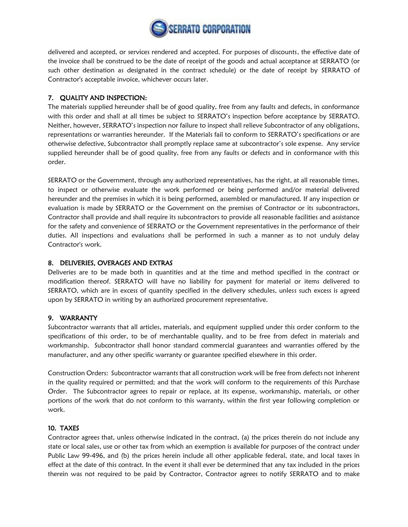

delivered and accepted, or services rendered and accepted. For purposes of discounts, the effective date of the invoice shall be construed to be the date of receipt of the goods and actual acceptance at SERRATO (or such other destination as designated in the contract schedule) or the date of receipt by SERRATO of Contractor's acceptable invoice, whichever occurs later.

### 7. QUALITY AND INSPECTION:

The materials supplied hereunder shall be of good quality, free from any faults and defects, in conformance with this order and shall at all times be subject to SERRATO's inspection before acceptance by SERRATO. Neither, however, SERRATO's inspection nor failure to inspect shall relieve Subcontractor of any obligations, representations or warranties hereunder. If the Materials fail to conform to SERRATO's specifications or are otherwise defective, Subcontractor shall promptly replace same at subcontractor's sole expense. Any service supplied hereunder shall be of good quality, free from any faults or defects and in conformance with this order.

SERRATO or the Government, through any authorized representatives, has the right, at all reasonable times, to inspect or otherwise evaluate the work performed or being performed and/or material delivered hereunder and the premises in which it is being performed, assembled or manufactured. If any inspection or evaluation is made by SERRATO or the Government on the premises of Contractor or its subcontractors, Contractor shall provide and shall require its subcontractors to provide all reasonable facilities and assistance for the safety and convenience of SERRATO or the Government representatives in the performance of their duties. All inspections and evaluations shall be performed in such a manner as to not unduly delay Contractor's work.

### 8. DELIVERIES, OVERAGES AND EXTRAS

Deliveries are to be made both in quantities and at the time and method specified in the contract or modification thereof. SERRATO will have no liability for payment for material or items delivered to SERRATO, which are in excess of quantity specified in the delivery schedules, unless such excess is agreed upon by SERRATO in writing by an authorized procurement representative.

### 9. WARRANTY

Subcontractor warrants that all articles, materials, and equipment supplied under this order conform to the specifications of this order, to be of merchantable quality, and to be free from defect in materials and workmanship. Subcontractor shall honor standard commercial guarantees and warranties offered by the manufacturer, and any other specific warranty or guarantee specified elsewhere in this order.

Construction Orders: Subcontractor warrants that all construction work will be free from defects not inherent in the quality required or permitted; and that the work will conform to the requirements of this Purchase Order. The Subcontractor agrees to repair or replace, at its expense, workmanship, materials, or other portions of the work that do not conform to this warranty, within the first year following completion or work.

# 10. TAXES

Contractor agrees that, unless otherwise indicated in the contract, (a) the prices therein do not include any state or local sales, use or other tax from which an exemption is available for purposes of the contract under Public Law 99-496, and (b) the prices herein include all other applicable federal, state, and local taxes in effect at the date of this contract. In the event it shall ever be determined that any tax included in the prices therein was not required to be paid by Contractor, Contractor agrees to notify SERRATO and to make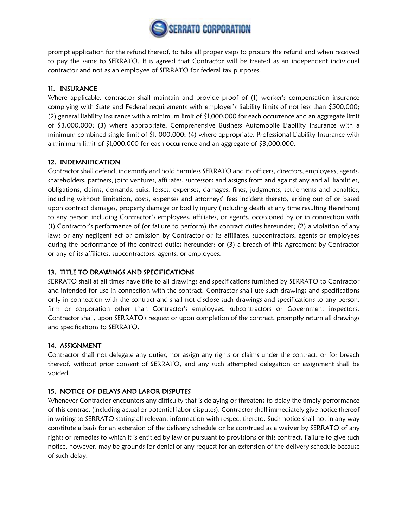

prompt application for the refund thereof, to take all proper steps to procure the refund and when received to pay the same to SERRATO. It is agreed that Contractor will be treated as an independent individual contractor and not as an employee of SERRATO for federal tax purposes.

# 11. INSURANCE

Where applicable, contractor shall maintain and provide proof of (1) worker's compensation insurance complying with State and Federal requirements with employer's liability limits of not less than \$500,000; (2) general liability insurance with a minimum limit of \$l,000,000 for each occurrence and an aggregate limit of \$3,000,000; (3) where appropriate, Comprehensive Business Automobile Liability Insurance with a minimum combined single limit of \$l, 000,000; (4) where appropriate, Professional Liability Insurance with a minimum limit of \$l,000,000 for each occurrence and an aggregate of \$3,000,000.

# 12. INDEMNIFICATION

Contractor shall defend, indemnify and hold harmless SERRATO and its officers, directors, employees, agents, shareholders, partners, joint ventures, affiliates, successors and assigns from and against any and all liabilities, obligations, claims, demands, suits, losses, expenses, damages, fines, judgments, settlements and penalties, including without limitation, costs, expenses and attorneys' fees incident thereto, arising out of or based upon contract damages, property damage or bodily injury (including death at any time resulting therefrom) to any person including Contractor's employees, affiliates, or agents, occasioned by or in connection with (1) Contractor's performance of (or failure to perform) the contract duties hereunder; (2) a violation of any laws or any negligent act or omission by Contractor or its affiliates, subcontractors, agents or employees during the performance of the contract duties hereunder; or (3) a breach of this Agreement by Contractor or any of its affiliates, subcontractors, agents, or employees.

# 13. TITLE TO DRAWINGS AND SPECIFICATIONS

SERRATO shall at all times have title to all drawings and specifications furnished by SERRATO to Contractor and intended for use in connection with the contract. Contractor shall use such drawings and specifications only in connection with the contract and shall not disclose such drawings and specifications to any person, firm or corporation other than Contractor's employees, subcontractors or Government inspectors. Contractor shall, upon SERRATO's request or upon completion of the contract, promptly return all drawings and specifications to SERRATO.

# 14. ASSIGNMENT

Contractor shall not delegate any duties, nor assign any rights or claims under the contract, or for breach thereof, without prior consent of SERRATO, and any such attempted delegation or assignment shall be voided.

# 15. NOTICE OF DELAYS AND LABOR DISPUTES

Whenever Contractor encounters any difficulty that is delaying or threatens to delay the timely performance of this contract (including actual or potential labor disputes), Contractor shall immediately give notice thereof in writing to SERRATO stating all relevant information with respect thereto. Such notice shall not in any way constitute a basis for an extension of the delivery schedule or be construed as a waiver by SERRATO of any rights or remedies to which it is entitled by law or pursuant to provisions of this contract. Failure to give such notice, however, may be grounds for denial of any request for an extension of the delivery schedule because of such delay.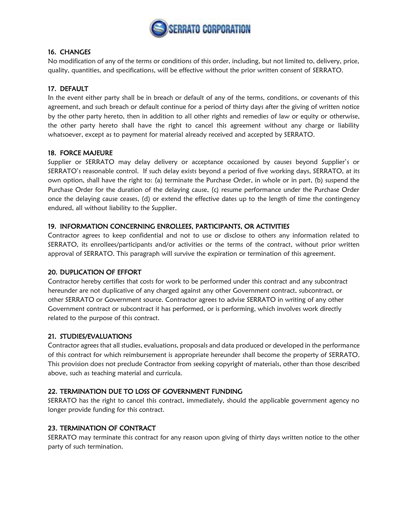

### 16. CHANGES

No modification of any of the terms or conditions of this order, including, but not limited to, delivery, price, quality, quantities, and specifications, will be effective without the prior written consent of SERRATO.

# 17. DEFAULT

In the event either party shall be in breach or default of any of the terms, conditions, or covenants of this agreement, and such breach or default continue for a period of thirty days after the giving of written notice by the other party hereto, then in addition to all other rights and remedies of law or equity or otherwise, the other party hereto shall have the right to cancel this agreement without any charge or liability whatsoever, except as to payment for material already received and accepted by SERRATO.

### 18. FORCE MAJEURE

Supplier or SERRATO may delay delivery or acceptance occasioned by causes beyond Supplier's or SERRATO's reasonable control. If such delay exists beyond a period of five working days, SERRATO, at its own option, shall have the right to: (a) terminate the Purchase Order, in whole or in part, (b) suspend the Purchase Order for the duration of the delaying cause, (c) resume performance under the Purchase Order once the delaying cause ceases, (d) or extend the effective dates up to the length of time the contingency endured, all without liability to the Supplier.

### 19. INFORMATION CONCERNING ENROLLEES, PARTICIPANTS, OR ACTIVITIES

Contractor agrees to keep confidential and not to use or disclose to others any information related to SERRATO, its enrollees/participants and/or activities or the terms of the contract, without prior written approval of SERRATO. This paragraph will survive the expiration or termination of this agreement.

### 20. DUPLICATION OF EFFORT

Contractor hereby certifies that costs for work to be performed under this contract and any subcontract hereunder are not duplicative of any charged against any other Government contract, subcontract, or other SERRATO or Government source. Contractor agrees to advise SERRATO in writing of any other Government contract or subcontract it has performed, or is performing, which involves work directly related to the purpose of this contract.

# 21. STUDIES/EVALUATIONS

Contractor agrees that all studies, evaluations, proposals and data produced or developed in the performance of this contract for which reimbursement is appropriate hereunder shall become the property of SERRATO. This provision does not preclude Contractor from seeking copyright of materials, other than those described above, such as teaching material and curricula.

### 22. TERMINATION DUE TO LOSS OF GOVERNMENT FUNDING

SERRATO has the right to cancel this contract, immediately, should the applicable government agency no longer provide funding for this contract.

# 23. TERMINATION OF CONTRACT

SERRATO may terminate this contract for any reason upon giving of thirty days written notice to the other party of such termination.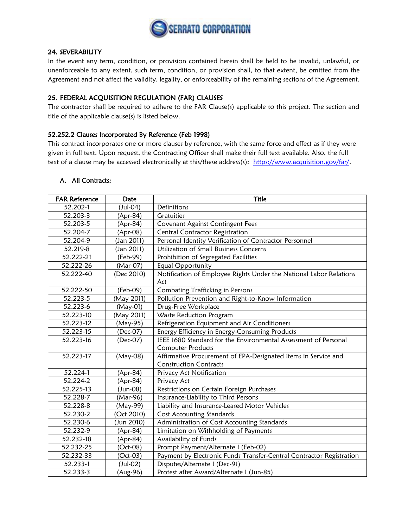

### 24. SEVERABILITY

In the event any term, condition, or provision contained herein shall be held to be invalid, unlawful, or unenforceable to any extent, such term, condition, or provision shall, to that extent, be omitted from the Agreement and not affect the validity, legality, or enforceability of the remaining sections of the Agreement.

### 25. FEDERAL ACQUISITION REGULATION (FAR) CLAUSES

The contractor shall be required to adhere to the FAR Clause(s) applicable to this project. The section and title of the applicable clause(s) is listed below.

### 52.252.2 Clauses Incorporated By Reference (Feb 1998)

This contract incorporates one or more clauses by reference, with the same force and effect as if they were given in full text. Upon request, the Contracting Officer shall make their full text available. Also, the full text of a clause may be accessed electronically at this/these address(s): [https://www.acquisition.gov/far/.](https://www.acquisition.gov/far/)

| <b>FAR Reference</b> | Date           | <b>Title</b>                                                         |
|----------------------|----------------|----------------------------------------------------------------------|
| 52.202-1             | (Jul-04)       | Definitions                                                          |
| 52.203-3             | (Apr-84)       | <b>Gratuities</b>                                                    |
| 52.203-5             | (Apr-84)       | Covenant Against Contingent Fees                                     |
| 52.204-7             | (Apr-08)       | <b>Central Contractor Registration</b>                               |
| 52.204-9             | (Jan 2011)     | Personal Identity Verification of Contractor Personnel               |
| 52.219-8             | (Jan 2011)     | Utilization of Small Business Concerns                               |
| 52.222-21            | (Feb-99)       | Prohibition of Segregated Facilities                                 |
| 52.222-26            | (Mar-07)       | Equal Opportunity                                                    |
| 52.222-40            | (Dec 2010)     | Notification of Employee Rights Under the National Labor Relations   |
|                      |                | Act                                                                  |
| 52.222-50            | (Feb-09)       | Combating Trafficking in Persons                                     |
| 52.223-5             | (May 2011)     | Pollution Prevention and Right-to-Know Information                   |
| 52.223-6             | $(May-01)$     | Drug-Free Workplace                                                  |
| 52.223-10            | (May 2011)     | Waste Reduction Program                                              |
| 52.223-12            | (May-95)       | Refrigeration Equipment and Air Conditioners                         |
| 52.223-15            | (Dec-07)       | Energy Efficiency in Energy-Consuming Products                       |
| 52.223-16            | (Dec-07)       | IEEE 1680 Standard for the Environmental Assessment of Personal      |
|                      |                | <b>Computer Products</b>                                             |
| 52.223-17            | (May-08)       | Affirmative Procurement of EPA-Designated Items in Service and       |
|                      |                | <b>Construction Contracts</b>                                        |
| 52.224-1             | (Apr-84)       | Privacy Act Notification                                             |
| 52.224-2             | (Apr-84)       | Privacy Act                                                          |
| 52.225-13            | (Jun-08)       | Restrictions on Certain Foreign Purchases                            |
| 52.228-7             | (Mar-96)       | Insurance-Liability to Third Persons                                 |
| 52.228-8             | (May-99)       | Liability and Insurance-Leased Motor Vehicles                        |
| 52.230-2             | (Oct 2010)     | <b>Cost Accounting Standards</b>                                     |
| 52.230-6             | (Jun 2010)     | Administration of Cost Accounting Standards                          |
| 52.232-9             | (Apr-84)       | Limitation on Withholding of Payments                                |
| 52.232-18            | (Apr-84)       | Availability of Funds                                                |
| 52.232-25            | (Oct-08)       | Prompt Payment/Alternate I (Feb-02)                                  |
| 52.232-33            | (Oct-03)       | Payment by Electronic Funds Transfer-Central Contractor Registration |
| 52.233-1             | $($ Jul-02 $)$ | Disputes/Alternate I (Dec-91)                                        |
| 52.233-3             | (Aug-96)       | Protest after Award/Alternate I (Jun-85)                             |

#### A. All Contracts: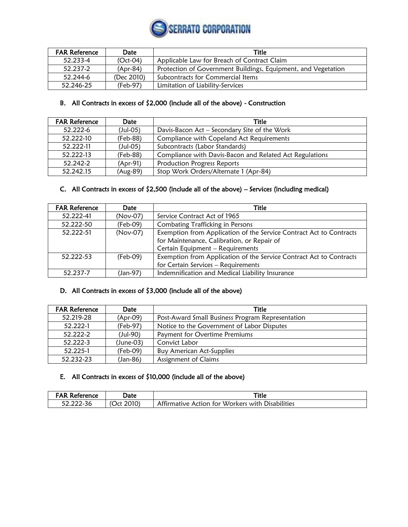

| <b>FAR Reference</b> | Date       | <b>Title</b>                                                  |
|----------------------|------------|---------------------------------------------------------------|
| 52.233-4             | $(Oct-04)$ | Applicable Law for Breach of Contract Claim                   |
| 52.237-2             | (Apr-84)   | Protection of Government Buildings, Equipment, and Vegetation |
| 52.244-6             | (Dec 2010) | Subcontracts for Commercial Items                             |
| 52.246-25            | (Feb-97)   | Limitation of Liability-Services                              |

# B. All Contracts in excess of \$2,000 (include all of the above) - Construction

| <b>FAR Reference</b> | Date       | Title                                                   |
|----------------------|------------|---------------------------------------------------------|
| 52.222-6             | $(Jul-05)$ | Davis-Bacon Act – Secondary Site of the Work            |
| 52.222-10            | (Feb-88)   | Compliance with Copeland Act Requirements               |
| 52.222-11            | $(Jul-05)$ | Subcontracts (Labor Standards)                          |
| 52.222-13            | (Feb-88)   | Compliance with Davis-Bacon and Related Act Regulations |
| 52.242-2             | (Apr-91)   | Production Progress Reports                             |
| 52.242.15            | (Aug-89)   | Stop Work Orders/Alternate 1 (Apr-84)                   |

# C. All Contracts in excess of \$2,500 (include all of the above) – Services (including medical)

| <b>FAR Reference</b> | Date       | <b>Title</b>                                                        |
|----------------------|------------|---------------------------------------------------------------------|
| 52.222-41            | (Nov-07)   | Service Contract Act of 1965                                        |
| 52.222-50            | (Feb-09)   | Combating Trafficking in Persons                                    |
| 52.222-51            | $(Nov-07)$ | Exemption from Application of the Service Contract Act to Contracts |
|                      |            | for Maintenance, Calibration, or Repair of                          |
|                      |            | Certain Equipment - Requirements                                    |
| 52.222-53            | (Feb-09)   | Exemption from Application of the Service Contract Act to Contracts |
|                      |            | for Certain Services - Requirements                                 |
| 52.237-7             | (Jan-97)   | Indemnification and Medical Liability Insurance                     |

### D. All Contracts in excess of \$3,000 (include all of the above)

| <b>FAR Reference</b> | Date      | <b>Title</b>                                     |
|----------------------|-----------|--------------------------------------------------|
| 52.219-28            | (Apr-09)  | Post-Award Small Business Program Representation |
| 52.222-1             | (Feb-97)  | Notice to the Government of Labor Disputes       |
| 52.222-2             | (Jul-90)  | Payment for Overtime Premiums                    |
| 52.222-3             | (June-03) | Convict Labor                                    |
| 52.225-1             | (Feb-09)  | <b>Buy American Act-Supplies</b>                 |
| 52.232-23            | (Jan-86)  | Assignment of Claims                             |

# E. All Contracts in excess of \$10,000 (include all of the above)

| Reference     | つate          | Title                                                                           |
|---------------|---------------|---------------------------------------------------------------------------------|
| $\sim$ $\sim$ | 2010'<br>) ct | Affirmative<br><b>Disabilities</b><br><i>Workers</i><br>. with<br>t∩r<br>Action |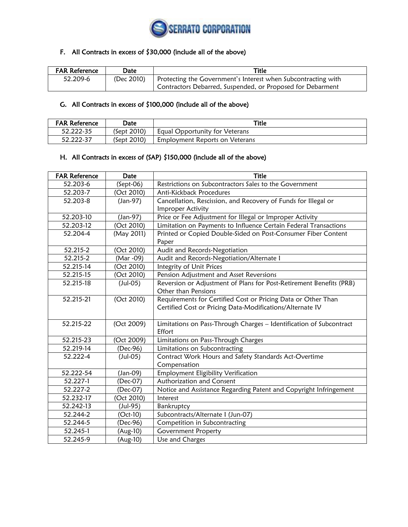

# F. All Contracts in excess of \$30,000 (include all of the above)

| <b>FAR Reference</b> | Date       | Title                                                         |
|----------------------|------------|---------------------------------------------------------------|
| 52.209-6             | (Dec 2010) | Protecting the Government's Interest when Subcontracting with |
|                      |            | Contractors Debarred, Suspended, or Proposed for Debarment    |

# G. All Contracts in excess of \$100,000 (include all of the above)

| <b>FAR Reference</b> | Date        | Title                          |
|----------------------|-------------|--------------------------------|
| 52.222-35            | (Sept 2010) | Equal Opportunity for Veterans |
| 52.222-37            | (Sept 2010) | Employment Reports on Veterans |

### H. All Contracts in excess of (SAP) \$150,000 (include all of the above)

| <b>FAR Reference</b> | Date           | <b>Title</b>                                                        |
|----------------------|----------------|---------------------------------------------------------------------|
| 52.203-6             | $(Sept-06)$    | Restrictions on Subcontractors Sales to the Government              |
| 52.203-7             | (Oct 2010)     | Anti-Kickback Procedures                                            |
| 52.203-8             | (Jan-97)       | Cancellation, Rescission, and Recovery of Funds for Illegal or      |
|                      |                | Improper Activity                                                   |
| 52.203-10            | (Jan-97)       | Price or Fee Adjustment for Illegal or Improper Activity            |
| 52.203-12            | (Oct 2010)     | Limitation on Payments to Influence Certain Federal Transactions    |
| 52.204-4             | (May 2011)     | Printed or Copied Double-Sided on Post-Consumer Fiber Content       |
|                      |                | Paper                                                               |
| 52.215-2             | (Oct 2010)     | Audit and Records-Negotiation                                       |
| 52.215-2             | (Mar -09)      | Audit and Records-Negotiation/Alternate I                           |
| 52.215-14            | (Oct 2010)     | Integrity of Unit Prices                                            |
| 52.215-15            | (Oct 2010)     | Pension Adjustment and Asset Reversions                             |
| 52.215-18            | $($ Jul-05 $)$ | Reversion or Adjustment of Plans for Post-Retirement Benefits (PRB) |
|                      |                | Other than Pensions                                                 |
| 52.215-21            | (Oct 2010)     | Requirements for Certified Cost or Pricing Data or Other Than       |
|                      |                | Certified Cost or Pricing Data-Modifications/Alternate IV           |
|                      |                |                                                                     |
| 52.215-22            | (Oct 2009)     | Limitations on Pass-Through Charges - Identification of Subcontract |
|                      |                | Effort                                                              |
| 52.215-23            | (Oct 2009)     | Limitations on Pass-Through Charges                                 |
| 52.219-14            | (Dec-96)       | Limitations on Subcontracting                                       |
| 52.222-4             | $($ Jul-05 $)$ | Contract Work Hours and Safety Standards Act-Overtime               |
|                      |                | Compensation                                                        |
| 52.222-54            | $(Jan-09)$     | Employment Eligibility Verification                                 |
| 52.227-1             | (Dec-07)       | Authorization and Consent                                           |
| 52.227-2             | (Dec-07)       | Notice and Assistance Regarding Patent and Copyright Infringement   |
| 52.232-17            | (Oct 2010)     | Interest                                                            |
| 52.242-13            | (Jul-95)       | Bankruptcy                                                          |
| 52.244-2             | $(Oct-10)$     | Subcontracts/Alternate I (Jun-07)                                   |
| 52.244-5             | (Dec-96)       | Competition in Subcontracting                                       |
| 52.245-1             | (Aug-10)       | Government Property                                                 |
| 52.245-9             | (Aug-10)       | Use and Charges                                                     |